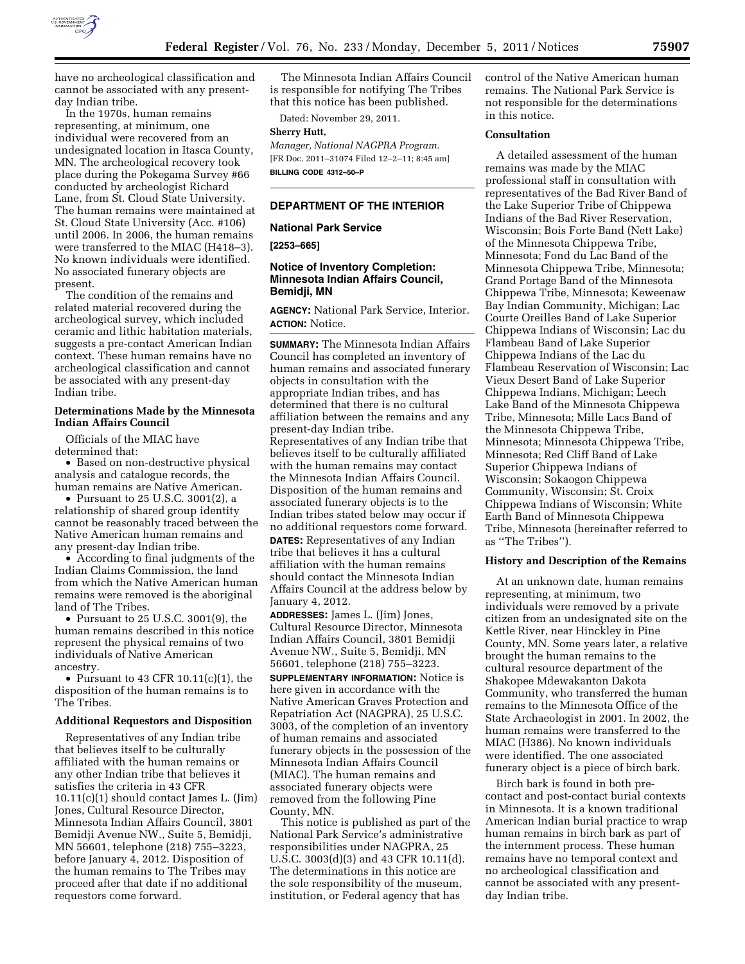

have no archeological classification and cannot be associated with any presentday Indian tribe.

In the 1970s, human remains representing, at minimum, one individual were recovered from an undesignated location in Itasca County, MN. The archeological recovery took place during the Pokegama Survey #66 conducted by archeologist Richard Lane, from St. Cloud State University. The human remains were maintained at St. Cloud State University (Acc. #106) until 2006. In 2006, the human remains were transferred to the MIAC (H418–3). No known individuals were identified. No associated funerary objects are present.

The condition of the remains and related material recovered during the archeological survey, which included ceramic and lithic habitation materials, suggests a pre-contact American Indian context. These human remains have no archeological classification and cannot be associated with any present-day Indian tribe.

## **Determinations Made by the Minnesota Indian Affairs Council**

Officials of the MIAC have determined that:

• Based on non-destructive physical analysis and catalogue records, the human remains are Native American.

• Pursuant to 25 U.S.C. 3001(2), a relationship of shared group identity cannot be reasonably traced between the Native American human remains and any present-day Indian tribe.

• According to final judgments of the Indian Claims Commission, the land from which the Native American human remains were removed is the aboriginal land of The Tribes.

• Pursuant to 25 U.S.C. 3001(9), the human remains described in this notice represent the physical remains of two individuals of Native American ancestry.

• Pursuant to 43 CFR  $10.11(c)(1)$ , the disposition of the human remains is to The Tribes.

#### **Additional Requestors and Disposition**

Representatives of any Indian tribe that believes itself to be culturally affiliated with the human remains or any other Indian tribe that believes it satisfies the criteria in 43 CFR 10.11(c)(1) should contact James L. (Jim) Jones, Cultural Resource Director, Minnesota Indian Affairs Council, 3801 Bemidji Avenue NW., Suite 5, Bemidji, MN 56601, telephone (218) 755–3223, before January 4, 2012. Disposition of the human remains to The Tribes may proceed after that date if no additional requestors come forward.

The Minnesota Indian Affairs Council is responsible for notifying The Tribes that this notice has been published.

Dated: November 29, 2011.

## **Sherry Hutt,**

*Manager, National NAGPRA Program.*  [FR Doc. 2011–31074 Filed 12–2–11; 8:45 am] **BILLING CODE 4312–50–P** 

## **DEPARTMENT OF THE INTERIOR**

### **National Park Service**

**[2253–665]** 

# **Notice of Inventory Completion: Minnesota Indian Affairs Council, Bemidji, MN**

**AGENCY:** National Park Service, Interior. **ACTION:** Notice.

**SUMMARY:** The Minnesota Indian Affairs Council has completed an inventory of human remains and associated funerary objects in consultation with the appropriate Indian tribes, and has determined that there is no cultural affiliation between the remains and any present-day Indian tribe. Representatives of any Indian tribe that believes itself to be culturally affiliated with the human remains may contact the Minnesota Indian Affairs Council. Disposition of the human remains and associated funerary objects is to the Indian tribes stated below may occur if no additional requestors come forward. **DATES:** Representatives of any Indian tribe that believes it has a cultural affiliation with the human remains should contact the Minnesota Indian Affairs Council at the address below by January 4, 2012.

**ADDRESSES:** James L. (Jim) Jones, Cultural Resource Director, Minnesota Indian Affairs Council, 3801 Bemidji Avenue NW., Suite 5, Bemidji, MN 56601, telephone (218) 755–3223.

**SUPPLEMENTARY INFORMATION:** Notice is here given in accordance with the Native American Graves Protection and Repatriation Act (NAGPRA), 25 U.S.C. 3003, of the completion of an inventory of human remains and associated funerary objects in the possession of the Minnesota Indian Affairs Council (MIAC). The human remains and associated funerary objects were removed from the following Pine County, MN.

This notice is published as part of the National Park Service's administrative responsibilities under NAGPRA, 25 U.S.C. 3003(d)(3) and 43 CFR 10.11(d). The determinations in this notice are the sole responsibility of the museum, institution, or Federal agency that has

control of the Native American human remains. The National Park Service is not responsible for the determinations in this notice.

### **Consultation**

A detailed assessment of the human remains was made by the MIAC professional staff in consultation with representatives of the Bad River Band of the Lake Superior Tribe of Chippewa Indians of the Bad River Reservation, Wisconsin; Bois Forte Band (Nett Lake) of the Minnesota Chippewa Tribe, Minnesota; Fond du Lac Band of the Minnesota Chippewa Tribe, Minnesota; Grand Portage Band of the Minnesota Chippewa Tribe, Minnesota; Keweenaw Bay Indian Community, Michigan; Lac Courte Oreilles Band of Lake Superior Chippewa Indians of Wisconsin; Lac du Flambeau Band of Lake Superior Chippewa Indians of the Lac du Flambeau Reservation of Wisconsin; Lac Vieux Desert Band of Lake Superior Chippewa Indians, Michigan; Leech Lake Band of the Minnesota Chippewa Tribe, Minnesota; Mille Lacs Band of the Minnesota Chippewa Tribe, Minnesota; Minnesota Chippewa Tribe, Minnesota; Red Cliff Band of Lake Superior Chippewa Indians of Wisconsin; Sokaogon Chippewa Community, Wisconsin; St. Croix Chippewa Indians of Wisconsin; White Earth Band of Minnesota Chippewa Tribe, Minnesota (hereinafter referred to as ''The Tribes'').

## **History and Description of the Remains**

At an unknown date, human remains representing, at minimum, two individuals were removed by a private citizen from an undesignated site on the Kettle River, near Hinckley in Pine County, MN. Some years later, a relative brought the human remains to the cultural resource department of the Shakopee Mdewakanton Dakota Community, who transferred the human remains to the Minnesota Office of the State Archaeologist in 2001. In 2002, the human remains were transferred to the MIAC (H386). No known individuals were identified. The one associated funerary object is a piece of birch bark.

Birch bark is found in both precontact and post-contact burial contexts in Minnesota. It is a known traditional American Indian burial practice to wrap human remains in birch bark as part of the internment process. These human remains have no temporal context and no archeological classification and cannot be associated with any presentday Indian tribe.